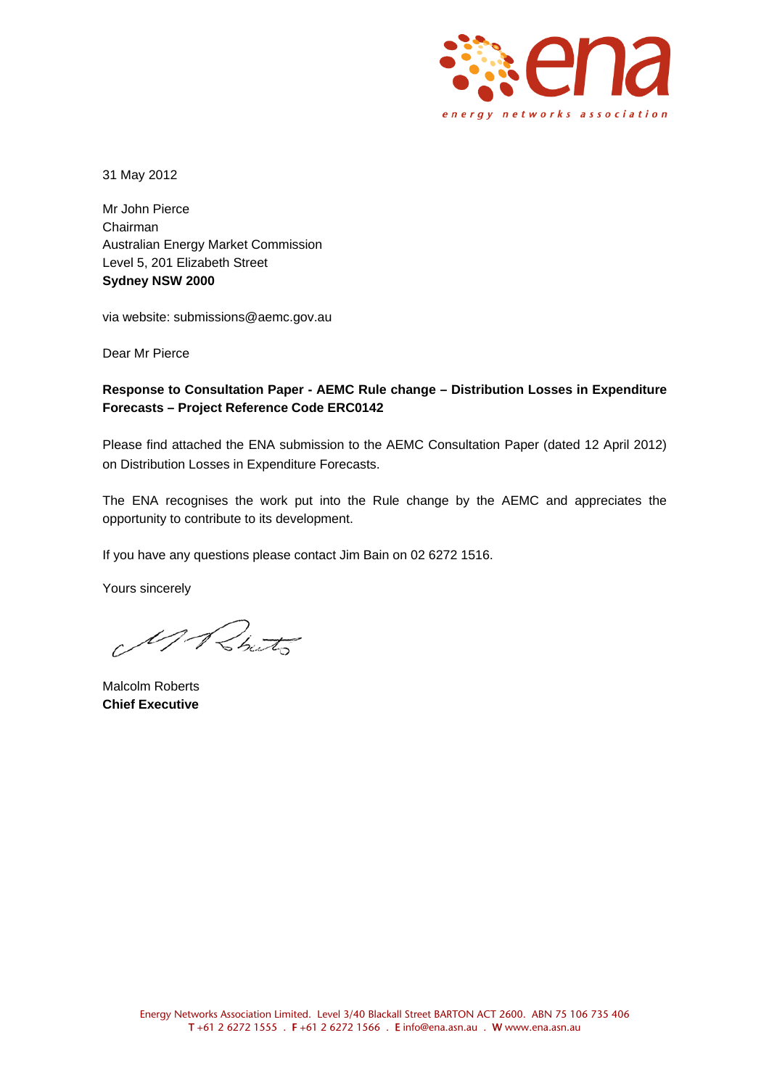

31 May 2012

Mr John Pierce Chairman Australian Energy Market Commission Level 5, 201 Elizabeth Street **Sydney NSW 2000** 

via website: submissions@aemc.gov.au

Dear Mr Pierce

## **Response to Consultation Paper - AEMC Rule change – Distribution Losses in Expenditure Forecasts – Project Reference Code ERC0142**

Please find attached the ENA submission to the AEMC Consultation Paper (dated 12 April 2012) on Distribution Losses in Expenditure Forecasts.

The ENA recognises the work put into the Rule change by the AEMC and appreciates the opportunity to contribute to its development.

If you have any questions please contact Jim Bain on 02 6272 1516.

Yours sincerely

1) Rints

Malcolm Roberts **Chief Executive**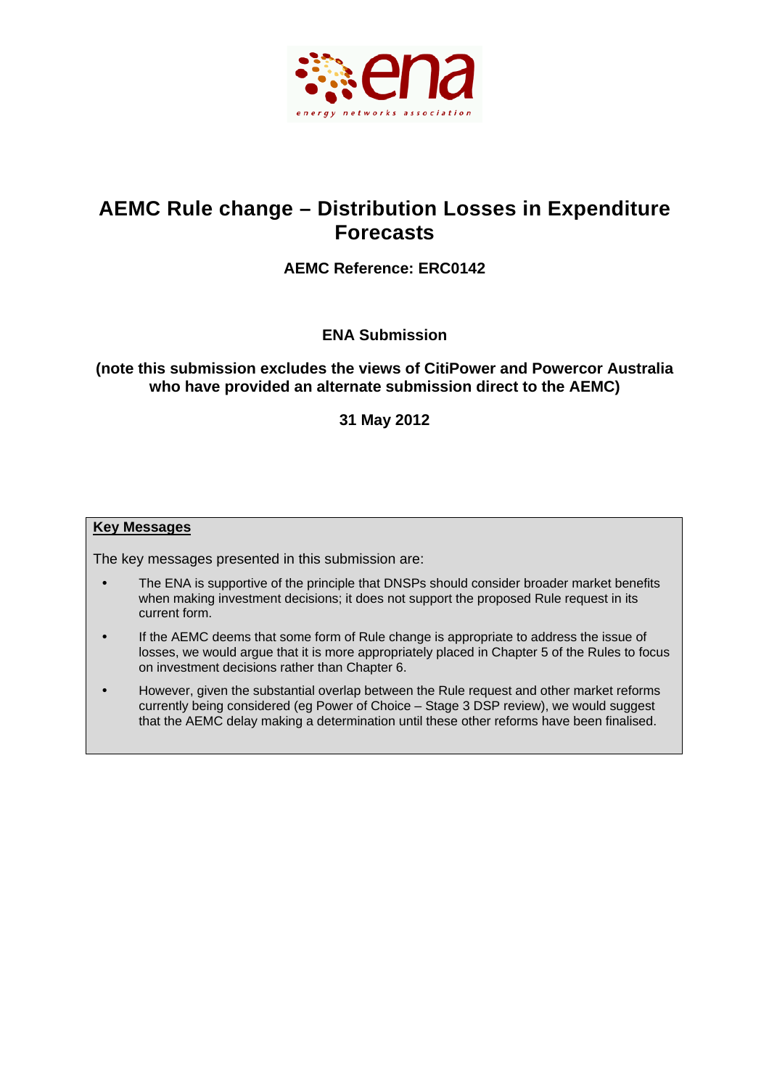

# **AEMC Rule change – Distribution Losses in Expenditure Forecasts**

# **AEMC Reference: ERC0142**

**ENA Submission** 

# **(note this submission excludes the views of CitiPower and Powercor Australia who have provided an alternate submission direct to the AEMC)**

**31 May 2012** 

### **Key Messages**

The key messages presented in this submission are:

- The ENA is supportive of the principle that DNSPs should consider broader market benefits when making investment decisions; it does not support the proposed Rule request in its current form.
- If the AEMC deems that some form of Rule change is appropriate to address the issue of losses, we would argue that it is more appropriately placed in Chapter 5 of the Rules to focus on investment decisions rather than Chapter 6.
- However, given the substantial overlap between the Rule request and other market reforms currently being considered (eg Power of Choice – Stage 3 DSP review), we would suggest that the AEMC delay making a determination until these other reforms have been finalised.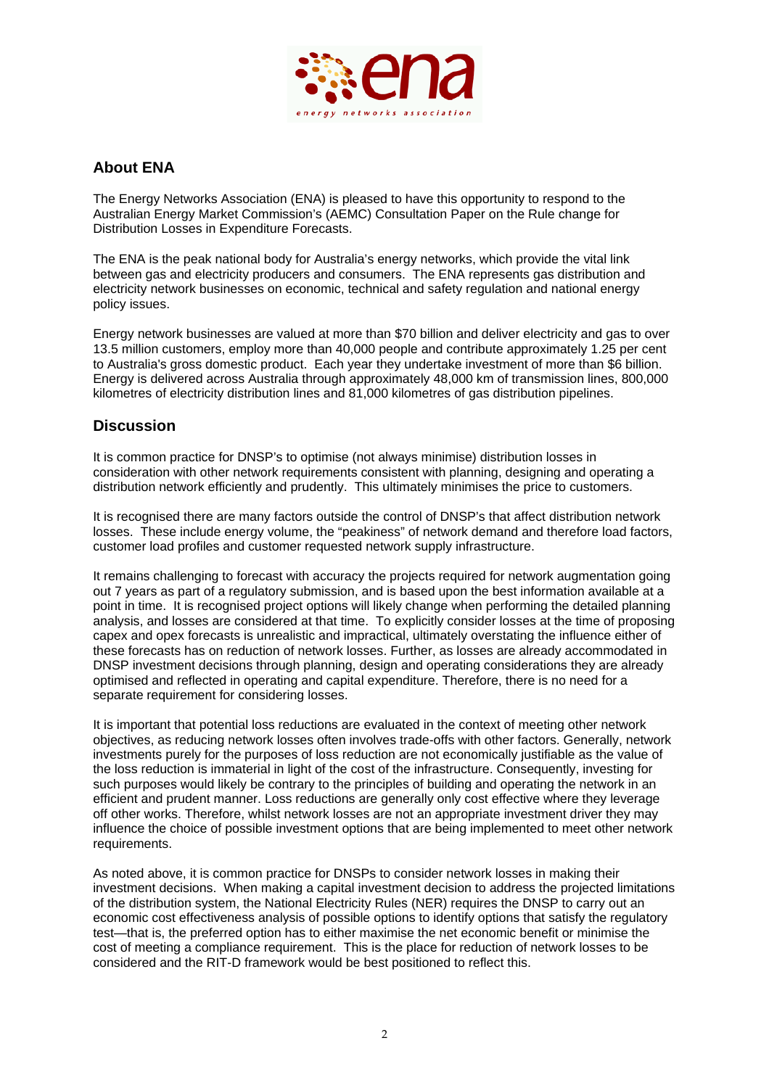

# **About ENA**

The Energy Networks Association (ENA) is pleased to have this opportunity to respond to the Australian Energy Market Commission's (AEMC) Consultation Paper on the Rule change for Distribution Losses in Expenditure Forecasts.

The ENA is the peak national body for Australia's energy networks, which provide the vital link between gas and electricity producers and consumers. The ENA represents gas distribution and electricity network businesses on economic, technical and safety regulation and national energy policy issues.

Energy network businesses are valued at more than \$70 billion and deliver electricity and gas to over 13.5 million customers, employ more than 40,000 people and contribute approximately 1.25 per cent to Australia's gross domestic product. Each year they undertake investment of more than \$6 billion. Energy is delivered across Australia through approximately 48,000 km of transmission lines, 800,000 kilometres of electricity distribution lines and 81,000 kilometres of gas distribution pipelines.

# **Discussion**

It is common practice for DNSP's to optimise (not always minimise) distribution losses in consideration with other network requirements consistent with planning, designing and operating a distribution network efficiently and prudently. This ultimately minimises the price to customers.

It is recognised there are many factors outside the control of DNSP's that affect distribution network losses. These include energy volume, the "peakiness" of network demand and therefore load factors, customer load profiles and customer requested network supply infrastructure.

It remains challenging to forecast with accuracy the projects required for network augmentation going out 7 years as part of a regulatory submission, and is based upon the best information available at a point in time. It is recognised project options will likely change when performing the detailed planning analysis, and losses are considered at that time. To explicitly consider losses at the time of proposing capex and opex forecasts is unrealistic and impractical, ultimately overstating the influence either of these forecasts has on reduction of network losses. Further, as losses are already accommodated in DNSP investment decisions through planning, design and operating considerations they are already optimised and reflected in operating and capital expenditure. Therefore, there is no need for a separate requirement for considering losses.

It is important that potential loss reductions are evaluated in the context of meeting other network objectives, as reducing network losses often involves trade-offs with other factors. Generally, network investments purely for the purposes of loss reduction are not economically justifiable as the value of the loss reduction is immaterial in light of the cost of the infrastructure. Consequently, investing for such purposes would likely be contrary to the principles of building and operating the network in an efficient and prudent manner. Loss reductions are generally only cost effective where they leverage off other works. Therefore, whilst network losses are not an appropriate investment driver they may influence the choice of possible investment options that are being implemented to meet other network requirements.

As noted above, it is common practice for DNSPs to consider network losses in making their investment decisions. When making a capital investment decision to address the projected limitations of the distribution system, the National Electricity Rules (NER) requires the DNSP to carry out an economic cost effectiveness analysis of possible options to identify options that satisfy the regulatory test—that is, the preferred option has to either maximise the net economic benefit or minimise the cost of meeting a compliance requirement. This is the place for reduction of network losses to be considered and the RIT-D framework would be best positioned to reflect this.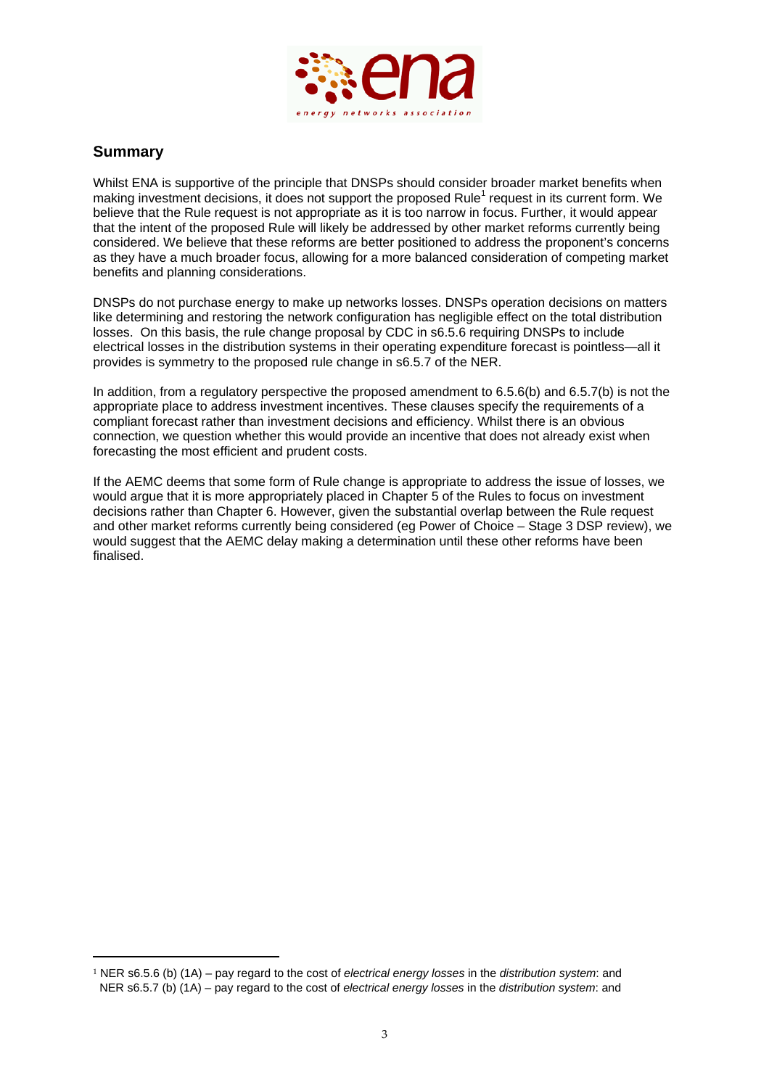

# **Summary**

Whilst ENA is supportive of the principle that DNSPs should consider broader market benefits when making investment decisions, it does not support the proposed Rule<sup>1</sup> request in its current form. We believe that the Rule request is not appropriate as it is too narrow in focus. Further, it would appear that the intent of the proposed Rule will likely be addressed by other market reforms currently being considered. We believe that these reforms are better positioned to address the proponent's concerns as they have a much broader focus, allowing for a more balanced consideration of competing market benefits and planning considerations.

DNSPs do not purchase energy to make up networks losses. DNSPs operation decisions on matters like determining and restoring the network configuration has negligible effect on the total distribution losses. On this basis, the rule change proposal by CDC in s6.5.6 requiring DNSPs to include electrical losses in the distribution systems in their operating expenditure forecast is pointless—all it provides is symmetry to the proposed rule change in s6.5.7 of the NER.

In addition, from a regulatory perspective the proposed amendment to 6.5.6(b) and 6.5.7(b) is not the appropriate place to address investment incentives. These clauses specify the requirements of a compliant forecast rather than investment decisions and efficiency. Whilst there is an obvious connection, we question whether this would provide an incentive that does not already exist when forecasting the most efficient and prudent costs.

If the AEMC deems that some form of Rule change is appropriate to address the issue of losses, we would argue that it is more appropriately placed in Chapter 5 of the Rules to focus on investment decisions rather than Chapter 6. However, given the substantial overlap between the Rule request and other market reforms currently being considered (eg Power of Choice – Stage 3 DSP review), we would suggest that the AEMC delay making a determination until these other reforms have been finalised.

<u> 1989 - Johann Barn, mars eta bainar eta industrial eta bainar eta baina eta baina eta baina eta baina eta ba</u>

<sup>1</sup> NER s6.5.6 (b) (1A) – pay regard to the cost of *electrical energy losses* in the *distribution system*: and NER s6.5.7 (b) (1A) – pay regard to the cost of *electrical energy losses* in the *distribution system*: and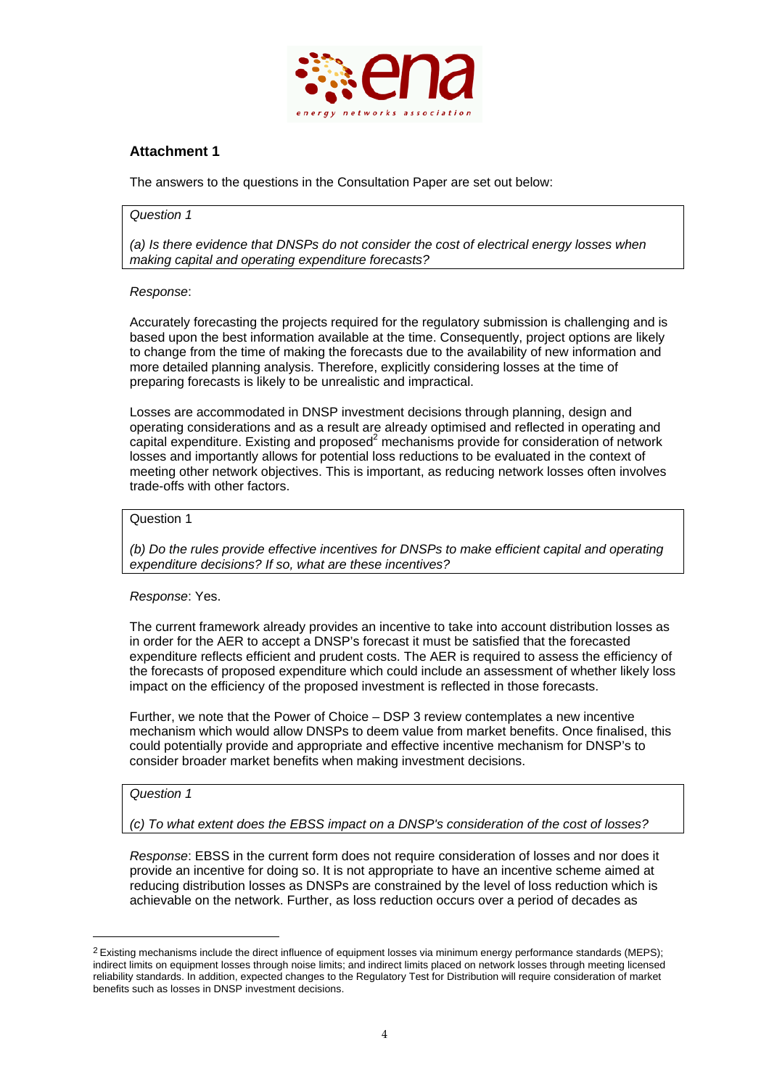

# **Attachment 1**

The answers to the questions in the Consultation Paper are set out below:

#### *Question 1*

*(a) Is there evidence that DNSPs do not consider the cost of electrical energy losses when making capital and operating expenditure forecasts?* 

#### *Response*:

Accurately forecasting the projects required for the regulatory submission is challenging and is based upon the best information available at the time. Consequently, project options are likely to change from the time of making the forecasts due to the availability of new information and more detailed planning analysis. Therefore, explicitly considering losses at the time of preparing forecasts is likely to be unrealistic and impractical.

Losses are accommodated in DNSP investment decisions through planning, design and operating considerations and as a result are already optimised and reflected in operating and capital expenditure. Existing and proposed $^2$  mechanisms provide for consideration of network losses and importantly allows for potential loss reductions to be evaluated in the context of meeting other network objectives. This is important, as reducing network losses often involves trade-offs with other factors.

#### Question 1

*(b) Do the rules provide effective incentives for DNSPs to make efficient capital and operating expenditure decisions? If so, what are these incentives?* 

#### *Response*: Yes.

The current framework already provides an incentive to take into account distribution losses as in order for the AER to accept a DNSP's forecast it must be satisfied that the forecasted expenditure reflects efficient and prudent costs. The AER is required to assess the efficiency of the forecasts of proposed expenditure which could include an assessment of whether likely loss impact on the efficiency of the proposed investment is reflected in those forecasts.

Further, we note that the Power of Choice – DSP 3 review contemplates a new incentive mechanism which would allow DNSPs to deem value from market benefits. Once finalised, this could potentially provide and appropriate and effective incentive mechanism for DNSP's to consider broader market benefits when making investment decisions.

#### *Question 1*

<u> 1989 - Johann Barn, mars ar breithinn ar chuid ann an t-</u>

*(c) To what extent does the EBSS impact on a DNSP's consideration of the cost of losses?* 

*Response*: EBSS in the current form does not require consideration of losses and nor does it provide an incentive for doing so. It is not appropriate to have an incentive scheme aimed at reducing distribution losses as DNSPs are constrained by the level of loss reduction which is achievable on the network. Further, as loss reduction occurs over a period of decades as

 $2$  Existing mechanisms include the direct influence of equipment losses via minimum energy performance standards (MEPS); indirect limits on equipment losses through noise limits; and indirect limits placed on network losses through meeting licensed reliability standards. In addition, expected changes to the Regulatory Test for Distribution will require consideration of market benefits such as losses in DNSP investment decisions.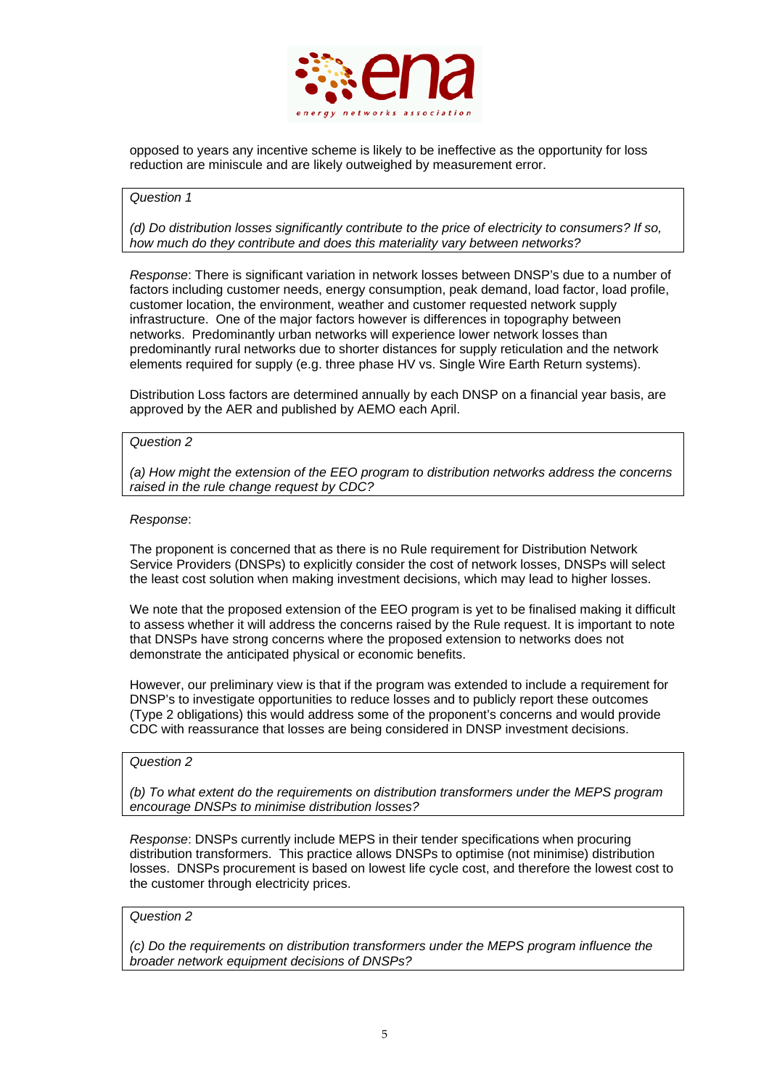

opposed to years any incentive scheme is likely to be ineffective as the opportunity for loss reduction are miniscule and are likely outweighed by measurement error.

#### *Question 1*

*(d) Do distribution losses significantly contribute to the price of electricity to consumers? If so, how much do they contribute and does this materiality vary between networks?* 

*Response*: There is significant variation in network losses between DNSP's due to a number of factors including customer needs, energy consumption, peak demand, load factor, load profile, customer location, the environment, weather and customer requested network supply infrastructure. One of the major factors however is differences in topography between networks. Predominantly urban networks will experience lower network losses than predominantly rural networks due to shorter distances for supply reticulation and the network elements required for supply (e.g. three phase HV vs. Single Wire Earth Return systems).

Distribution Loss factors are determined annually by each DNSP on a financial year basis, are approved by the AER and published by AEMO each April.

#### *Question 2*

*(a) How might the extension of the EEO program to distribution networks address the concerns raised in the rule change request by CDC?* 

#### *Response*:

The proponent is concerned that as there is no Rule requirement for Distribution Network Service Providers (DNSPs) to explicitly consider the cost of network losses, DNSPs will select the least cost solution when making investment decisions, which may lead to higher losses.

We note that the proposed extension of the EEO program is yet to be finalised making it difficult to assess whether it will address the concerns raised by the Rule request. It is important to note that DNSPs have strong concerns where the proposed extension to networks does not demonstrate the anticipated physical or economic benefits.

However, our preliminary view is that if the program was extended to include a requirement for DNSP's to investigate opportunities to reduce losses and to publicly report these outcomes (Type 2 obligations) this would address some of the proponent's concerns and would provide CDC with reassurance that losses are being considered in DNSP investment decisions.

#### *Question 2*

*(b) To what extent do the requirements on distribution transformers under the MEPS program encourage DNSPs to minimise distribution losses?*

*Response*: DNSPs currently include MEPS in their tender specifications when procuring distribution transformers. This practice allows DNSPs to optimise (not minimise) distribution losses. DNSPs procurement is based on lowest life cycle cost, and therefore the lowest cost to the customer through electricity prices.

#### *Question 2*

*(c) Do the requirements on distribution transformers under the MEPS program influence the broader network equipment decisions of DNSPs?*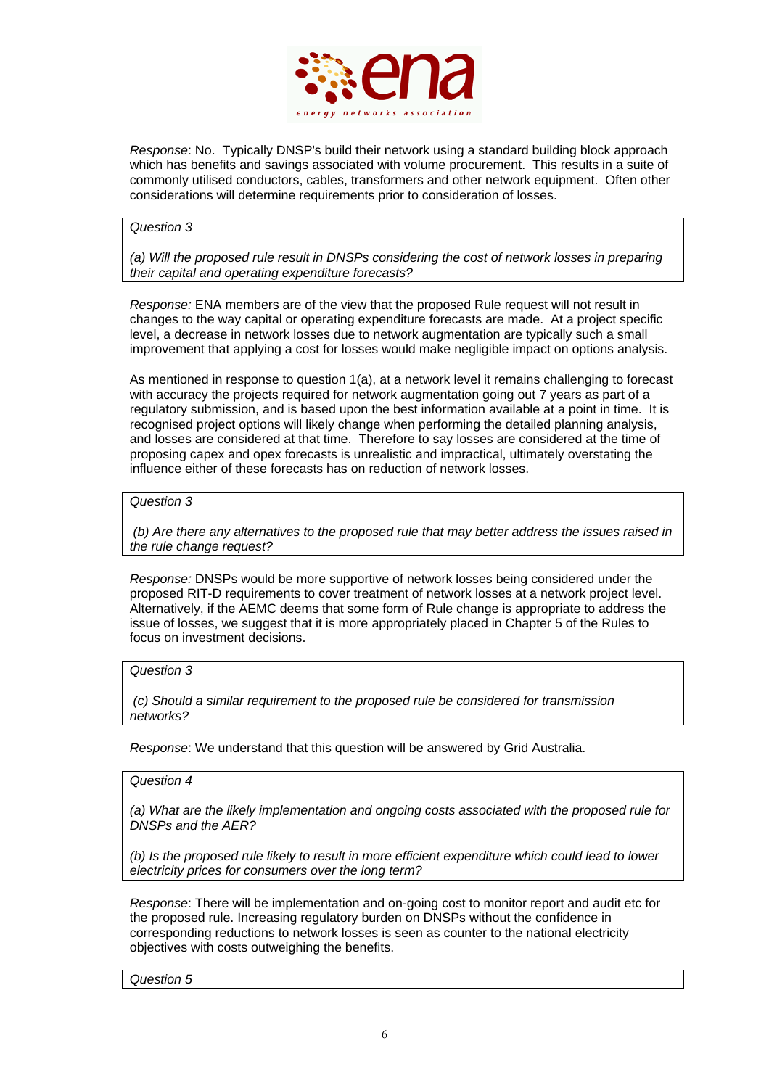

*Response*: No. Typically DNSP's build their network using a standard building block approach which has benefits and savings associated with volume procurement. This results in a suite of commonly utilised conductors, cables, transformers and other network equipment. Often other considerations will determine requirements prior to consideration of losses.

#### *Question 3*

*(a) Will the proposed rule result in DNSPs considering the cost of network losses in preparing their capital and operating expenditure forecasts?* 

*Response:* ENA members are of the view that the proposed Rule request will not result in changes to the way capital or operating expenditure forecasts are made. At a project specific level, a decrease in network losses due to network augmentation are typically such a small improvement that applying a cost for losses would make negligible impact on options analysis.

As mentioned in response to question 1(a), at a network level it remains challenging to forecast with accuracy the projects required for network augmentation going out 7 years as part of a regulatory submission, and is based upon the best information available at a point in time. It is recognised project options will likely change when performing the detailed planning analysis, and losses are considered at that time. Therefore to say losses are considered at the time of proposing capex and opex forecasts is unrealistic and impractical, ultimately overstating the influence either of these forecasts has on reduction of network losses.

#### *Question 3*

 *(b) Are there any alternatives to the proposed rule that may better address the issues raised in the rule change request?*

*Response:* DNSPs would be more supportive of network losses being considered under the proposed RIT-D requirements to cover treatment of network losses at a network project level. Alternatively, if the AEMC deems that some form of Rule change is appropriate to address the issue of losses, we suggest that it is more appropriately placed in Chapter 5 of the Rules to focus on investment decisions.

### *Question 3*

 *(c) Should a similar requirement to the proposed rule be considered for transmission networks?*

*Response*: We understand that this question will be answered by Grid Australia.

### *Question 4*

*(a) What are the likely implementation and ongoing costs associated with the proposed rule for DNSPs and the AER?* 

*(b) Is the proposed rule likely to result in more efficient expenditure which could lead to lower electricity prices for consumers over the long term?* 

*Response*: There will be implementation and on-going cost to monitor report and audit etc for the proposed rule. Increasing regulatory burden on DNSPs without the confidence in corresponding reductions to network losses is seen as counter to the national electricity objectives with costs outweighing the benefits.

*Question 5*